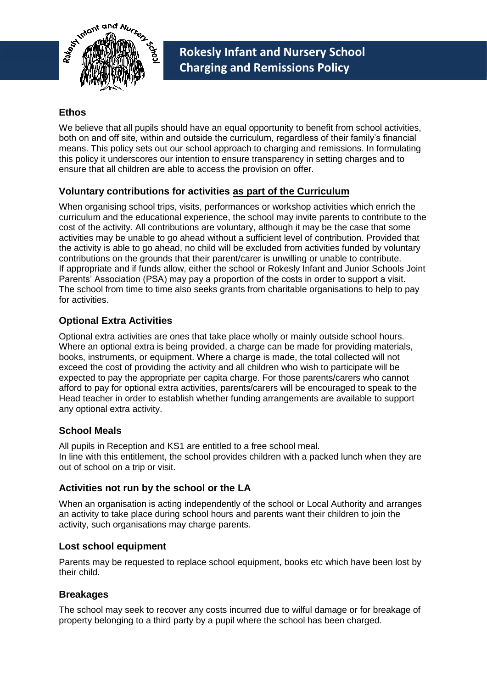

## **Ethos**

We believe that all pupils should have an equal opportunity to benefit from school activities, both on and off site, within and outside the curriculum, regardless of their family's financial means. This policy sets out our school approach to charging and remissions. In formulating this policy it underscores our intention to ensure transparency in setting charges and to ensure that all children are able to access the provision on offer.

## **Voluntary contributions for activities as part of the Curriculum**

When organising school trips, visits, performances or workshop activities which enrich the curriculum and the educational experience, the school may invite parents to contribute to the cost of the activity. All contributions are voluntary, although it may be the case that some activities may be unable to go ahead without a sufficient level of contribution. Provided that the activity is able to go ahead, no child will be excluded from activities funded by voluntary contributions on the grounds that their parent/carer is unwilling or unable to contribute. If appropriate and if funds allow, either the school or Rokesly Infant and Junior Schools Joint Parents' Association (PSA) may pay a proportion of the costs in order to support a visit. The school from time to time also seeks grants from charitable organisations to help to pay for activities.

# **Optional Extra Activities**

Optional extra activities are ones that take place wholly or mainly outside school hours. Where an optional extra is being provided, a charge can be made for providing materials, books, instruments, or equipment. Where a charge is made, the total collected will not exceed the cost of providing the activity and all children who wish to participate will be expected to pay the appropriate per capita charge. For those parents/carers who cannot afford to pay for optional extra activities, parents/carers will be encouraged to speak to the Head teacher in order to establish whether funding arrangements are available to support any optional extra activity.

### **School Meals**

All pupils in Reception and KS1 are entitled to a free school meal. In line with this entitlement, the school provides children with a packed lunch when they are out of school on a trip or visit.

### **Activities not run by the school or the LA**

When an organisation is acting independently of the school or Local Authority and arranges an activity to take place during school hours and parents want their children to join the activity, such organisations may charge parents.

### **Lost school equipment**

Parents may be requested to replace school equipment, books etc which have been lost by their child.

### **Breakages**

The school may seek to recover any costs incurred due to wilful damage or for breakage of property belonging to a third party by a pupil where the school has been charged.